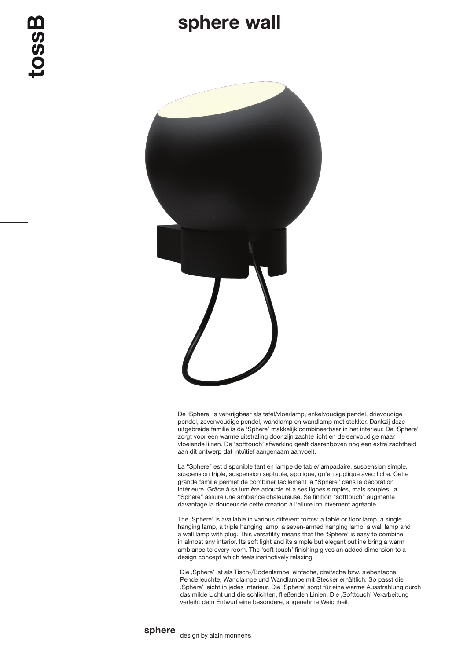## sphere wall



toss



De 'Sphere' is verkrijgbaar als tafel/vloerlamp, enkelvoudige pendel, drievoudige pendel, zevenvoudige pendel, wandlamp en wandlamp met stekker. Dankzij deze uitgebreide familie is de 'Sphere' makkelijk combineerbaar in het interieur. De 'Sphere' zorgt voor een warme uitstraling door zijn zachte licht en de eenvoudige maar vloeiende lijnen. De 'softtouch' afwerking geeft daarenboven nog een extra zachtheid aan dit ontwerp dat intuïtief aangenaam aanvoelt.

La "Sphere" est disponible tant en lampe de table/lampadaire, suspension simple, suspension triple, suspension septuple, applique, qu'en applique avec fiche. Cette grande famille permet de combiner facilement la "Sphere" dans la décoration intérieure. Grâce à sa lumière adoucie et à ses lignes simples, mais souples, la "Sphere" assure une ambiance chaleureuse. Sa finition "softtouch" augmente davantage la douceur de cette création à l'allure intuitivement agréable.

The 'Sphere' is available in various different forms: a table or floor lamp, a single hanging lamp, a triple hanging lamp, a seven-armed hanging lamp, a wall lamp and a wall lamp with plug. This versatility means that the 'Sphere' is easy to combine in almost any interior. Its soft light and its simple but elegant outline bring a warm ambiance to every room. The 'soft touch' finishing gives an added dimension to a design concept which feels instinctively relaxing.

Die 'Sphere' ist als Tisch-/Bodenlampe, einfache, dreifache bzw. siebenfache Pendelleuchte, Wandlampe und Wandlampe mit Stecker erhältlich. So passt die ,Sphere' leicht in jedes Interieur. Die ,Sphere' sorgt für eine warme Ausstrahlung durch das milde Licht und die schlichten, fließenden Linien. Die ,Softtouch' Verarbeitung verleiht dem Entwurf eine besondere, angenehme Weichheit.